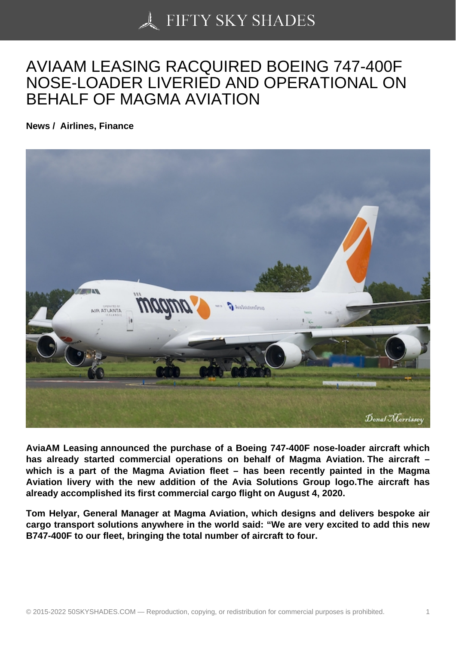## [AVIAAM LEASING RA](https://50skyshades.com)CQUIRED BOEING 747-400F NOSE-LOADER LIVERIED AND OPERATIONAL ON BEHALF OF MAGMA AVIATION

News / Airlines, Finance

AviaAM Leasing announced the purchase of a Boeing 747-400F nose-loader aircraft which has already started commercial operations on behalf of Magma Aviation. The aircraft which is a part of the Magma Aviation fleet – has been recently painted in the Magma Aviation livery with the new addition of the Avia Solutions Group logo.The aircraft has already accomplished its first commercial cargo flight on August 4, 2020.

Tom Helyar, General Manager at Magma Aviation, which designs and delivers bespoke air cargo transport solutions anywhere in the world said: "We are very excited to add this new B747-400F to our fleet, bringing the total number of aircraft to four.